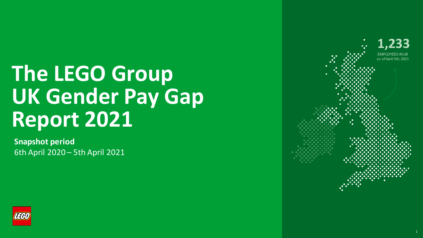# **The LEGO Group UK Gender Pay Gap Report 2021**

**Snapshot period** 6th April 2020 – 5th April 2021



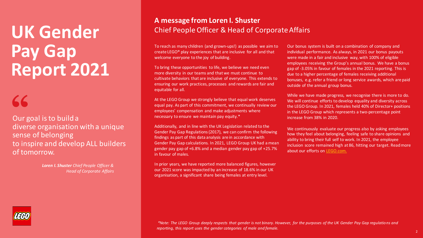# **UK Gender Pay Gap Report 2021**

# **66**<br>Our g<br>diver

Our goal is to build a diverse organisation with a unique sense of belonging to inspire and develop ALL builders of tomorrow.

> *Loren I. Shuster Chief People Officer & Head of Corporate Affairs*

### **A message from Loren I. Shuster**  Chief People Officer & Head of Corporate Affairs

To reach as many children (and grown-ups!) as possible we aim to create LEGO® play experiences that are inclusive for all and that welcome everyone to the joy of building.

To bring these opportunities to life, we believe we need even more diversity in our teams and that we must continue to cultivate behaviors that are inclusive of everyone. This extends to ensuring our work practices, processes and rewards are fair and equitable for all.

At the LEGO Group we strongly believe that equal work deserves equal pay. As part of this commitment, we continually review our employees' compensation and make adjustments where necessary to ensure we maintain pay equity.\*

Additionally, and in line with the UK Legislation related to the Gender Pay Gap Regulations (2017), we can confirm the following findings as part of this data analysis are in accordance with Gender Pay Gap calculations. In 2021, LEGO Group UK had a mean gender pay gap of +6.8% and a median gender pay gap of +25.7% in favour of males.

In prior years, we have reported more balanced figures, however our 2021 score was impacted by an increase of 18.6% in our UK organisation, a significant share being females at entry level.

Our bonus system is built on a combination of company and individual performance. As always, in 2021 our bonus payouts were made in a fair and inclusive way, with 100% of eligible employees receiving the Group's annual bonus. We have a bonus gap of -3.05% in favour of females in the 2021 reporting. This is due to a higher percentage of females receiving additional bonuses, e.g. refer a friend or long service awards, which are paid outside of the annual group bonus.

While we have made progress, we recognise there is more to do. We will continue efforts to develop equality and diversity across the LEGO Group. In 2021, females held 40% of Director+ positions in the LEGO Group which represents a two-percentage point increase from 38% in 2020.

We continuously evaluate our progress also by asking employees how they feel about belonging, feeling safe to share opinions and ability to bring their full self to work. In 2021, the employee inclusion score remained high at 86, hitting our target. Readmore about our efforts on [LEGO.com.](https://www.lego.com/en-us/sustainability/people/diversity-and-inclusion/)



*\*Note: The LEGO Group deeply respects that gender is not binary. However, for the purposes of the UK Gender Pay Gap regulations and reporting, this report uses the gender categories of male and female.*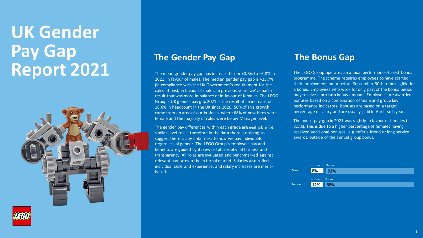## **UK Gender Pay Gap Report 2021**



### **The Gender Pay Gap The Bonus Gap**

The mean gender pay gap has increased from +0.8% to +6.8% in 2021, in favour of males. The median gender pay gap is +25.7%, (in compliance with the UK Government's requirement for the calculations), in favour of males. In previous years we've had a result that was more in balance or in favour of females. The LEGO Group's UK gender pay gap 2021 is the result of an increase of 18.6% in headcount in the UK since 2020. 50% of this growth came from an area of our business where 68% of new hires were female and the majority of roles were below Manager level.

The gender pay differences within each grade are negligible (i.e. similar level roles) therefore in the data there is nothing to suggest there is any unfairness to how we pay individuals regardless of gender. The LEGO Group's employee pay and benefits are guided by its reward philosophy of fairness and transparency. All roles are evaluated and benchmarked against relevant pay rates in the external market. Salaries also reflect individual skills and experience, and salary increases are meritbased.

The LEGO Group operates an annual performance-based bonus programme. The scheme requires employees to have started their employment on or before September 30th to be eligible for a bonus. Employees who work for only part of the bonus period may receive a pro-rata bonus amount. Employees are awarded bonuses based on a combination of team and group key performance indicators. Bonuses are based on a target percentage of salary and are usually paid in April each year.

The bonus pay gap in 2021 was slightly in favour of females (- 3.5%). This is due to a higher percentage of females having received additional bonuses, e.g. refer a friend or long service awards, outside of the annual group bonus.

|               | No Bonus       | <b>Bonus</b> |
|---------------|----------------|--------------|
| <b>Male</b>   | 8%             | 92%          |
|               | No Bonus Bonus |              |
| <b>Female</b> | 12%            | 88%          |